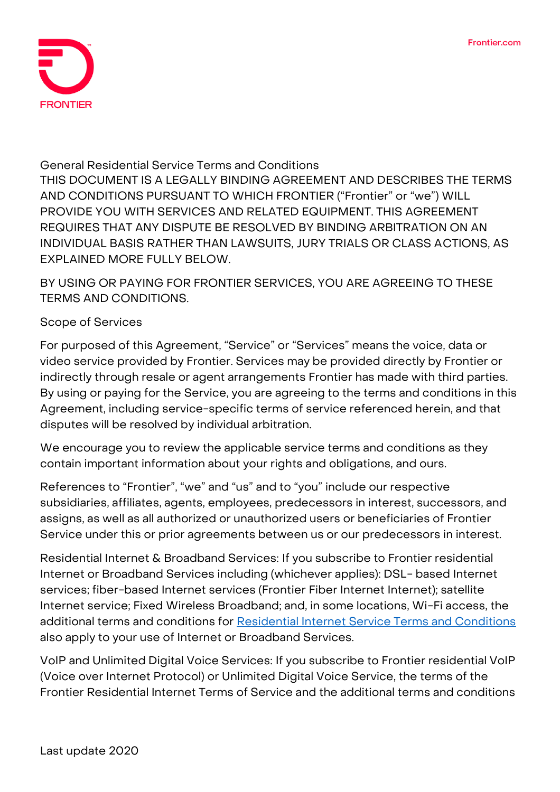

#### **General Residential Service Terms and Conditions**

**THIS DOCUMENT IS A LEGALLY BINDING AGREEMENT AND DESCRIBES THE TERMS AND CONDITIONS PURSUANT TO WHICH FRONTIER ("Frontier" or "we") WILL PROVIDE YOU WITH SERVICES AND RELATED EQUIPMENT. THIS AGREEMENT REQUIRES THAT ANY DISPUTE BE RESOLVED BY BINDING ARBITRATION ON AN INDIVIDUAL BASIS RATHER THAN LAWSUITS, JURY TRIALS OR CLASS ACTIONS, AS EXPLAINED MORE FULLY BELOW.**

**BY USING OR PAYING FOR FRONTIER SERVICES, YOU ARE AGREEING TO THESE TERMS AND CONDITIONS.**

### **Scope of Services**

For purposed of this Agreement, "Service" or "Services" means the voice, data or video service provided by Frontier. Services may be provided directly by Frontier or indirectly through resale or agent arrangements Frontier has made with third parties. By using or paying for the Service, you are agreeing to the terms and conditions in this Agreement, including service-specific terms of service referenced herein, and that disputes will be resolved by individual arbitration.

We encourage you to review the applicable service terms and conditions as they contain important information about your rights and obligations, and ours.

References to "Frontier", "we" and "us" and to "you" include our respective subsidiaries, affiliates, agents, employees, predecessors in interest, successors, and assigns, as well as all authorized or unauthorized users or beneficiaries of Frontier Service under this or prior agreements between us or our predecessors in interest.

**Residential Internet & Broadband Services:** If you subscribe to Frontier residential Internet or Broadband Services including (whichever applies): DSL- based Internet services; fiber-based Internet services (Frontier Fiber Internet Internet); satellite Internet service; Fixed Wireless Broadband; and, in some locations, Wi-Fi access, the additional terms and conditions for [Residential Internet Service Terms and Conditions](https://frontier.com/~/media/corporate/terms/hsi-residential-internet-service.ashx?la=en) also apply to your use of Internet or Broadband Services.

**VoIP and Unlimited Digital Voice Services:** If you subscribe to Frontier residential VoIP (Voice over Internet Protocol) or Unlimited Digital Voice Service, the terms of the Frontier Residential Internet Terms of Service and the additional terms and conditions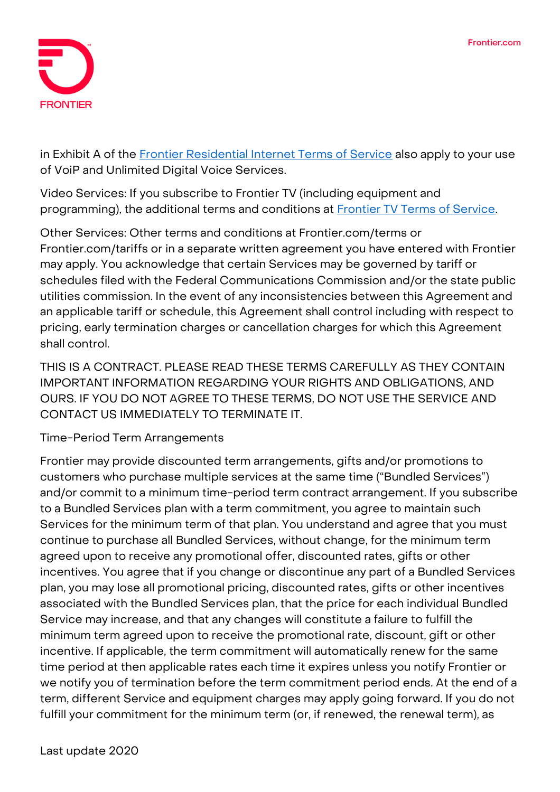

in Exhibit A of the [Frontier Residential Internet Terms of Service](https://frontier.com/~/media/corporate/terms/voice-residential-voip-digital-voice.ashx?la=en) also apply to your use of VoiP and Unlimited Digital Voice Services.

**Video Services:** If you subscribe to Frontier TV (including equipment and programming), the additional terms and conditions at **Frontier TV Terms of Service**.

**Other Services:** Other terms and conditions at Frontier.com/terms or Frontier.com/tariffs or in a separate written agreement you have entered with Frontier may apply. You acknowledge that certain Services may be governed by tariff or schedules filed with the Federal Communications Commission and/or the state public utilities commission. In the event of any inconsistencies between this Agreement and an applicable tariff or schedule, this Agreement shall control including with respect to pricing, early termination charges or cancellation charges for which this Agreement shall control.

**THIS IS A CONTRACT. PLEASE READ THESE TERMS CAREFULLY AS THEY CONTAIN IMPORTANT INFORMATION REGARDING YOUR RIGHTS AND OBLIGATIONS, AND OURS. IF YOU DO NOT AGREE TO THESE TERMS, DO NOT USE THE SERVICE AND CONTACT US IMMEDIATELY TO TERMINATE IT.**

# **Time-Period Term Arrangements**

Frontier may provide discounted term arrangements, gifts and/or promotions to customers who purchase multiple services at the same time ("Bundled Services") and/or commit to a minimum time-period term contract arrangement. If you subscribe to a Bundled Services plan with a term commitment, you agree to maintain such Services for the minimum term of that plan. You understand and agree that you must continue to purchase all Bundled Services, without change, for the minimum term agreed upon to receive any promotional offer, discounted rates, gifts or other incentives. You agree that if you change or discontinue any part of a Bundled Services plan, you may lose all promotional pricing, discounted rates, gifts or other incentives associated with the Bundled Services plan, that the price for each individual Bundled Service may increase, and that any changes will constitute a failure to fulfill the minimum term agreed upon to receive the promotional rate, discount, gift or other incentive. If applicable, the term commitment will automatically renew for the same time period at then applicable rates each time it expires unless you notify Frontier or we notify you of termination before the term commitment period ends. At the end of a term, different Service and equipment charges may apply going forward. If you do not fulfill your commitment for the minimum term (or, if renewed, the renewal term), as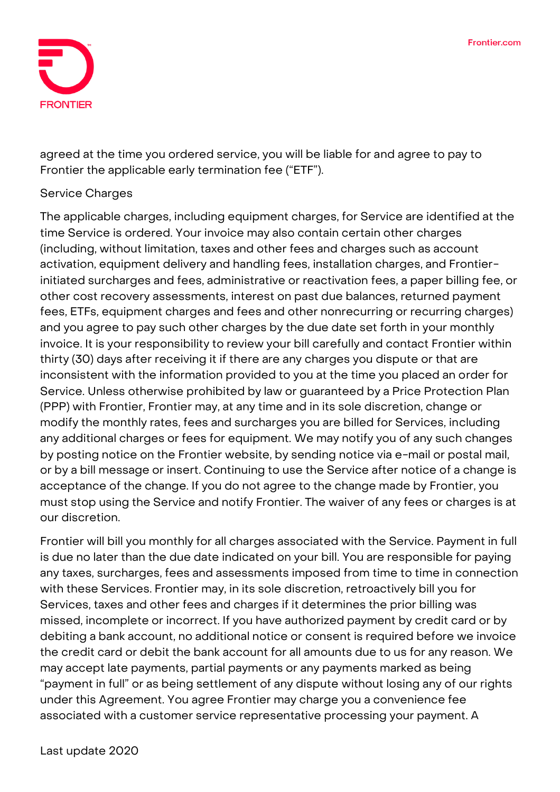

agreed at the time you ordered service, you will be liable for and agree to pay to Frontier the applicable early termination fee ("ETF").

# **Service Charges**

The applicable charges, including equipment charges, for Service are identified at the time Service is ordered. Your invoice may also contain certain other charges (including, without limitation, taxes and other fees and charges such as account activation, equipment delivery and handling fees, installation charges, and Frontierinitiated surcharges and fees, administrative or reactivation fees, a paper billing fee, or other cost recovery assessments, interest on past due balances, returned payment fees, ETFs, equipment charges and fees and other nonrecurring or recurring charges) and you agree to pay such other charges by the due date set forth in your monthly invoice. It is your responsibility to review your bill carefully and contact Frontier within thirty (30) days after receiving it if there are any charges you dispute or that are inconsistent with the information provided to you at the time you placed an order for Service. Unless otherwise prohibited by law or guaranteed by a Price Protection Plan (PPP) with Frontier, Frontier may, at any time and in its sole discretion, change or modify the monthly rates, fees and surcharges you are billed for Services, including any additional charges or fees for equipment. We may notify you of any such changes by posting notice on the Frontier website, by sending notice via e-mail or postal mail, or by a bill message or insert. Continuing to use the Service after notice of a change is acceptance of the change. If you do not agree to the change made by Frontier, you must stop using the Service and notify Frontier. The waiver of any fees or charges is at our discretion.

Frontier will bill you monthly for all charges associated with the Service. Payment in full is due no later than the due date indicated on your bill. You are responsible for paying any taxes, surcharges, fees and assessments imposed from time to time in connection with these Services. Frontier may, in its sole discretion, retroactively bill you for Services, taxes and other fees and charges if it determines the prior billing was missed, incomplete or incorrect. If you have authorized payment by credit card or by debiting a bank account, no additional notice or consent is required before we invoice the credit card or debit the bank account for all amounts due to us for any reason. We may accept late payments, partial payments or any payments marked as being "payment in full" or as being settlement of any dispute without losing any of our rights under this Agreement. You agree Frontier may charge you a convenience fee associated with a customer service representative processing your payment. A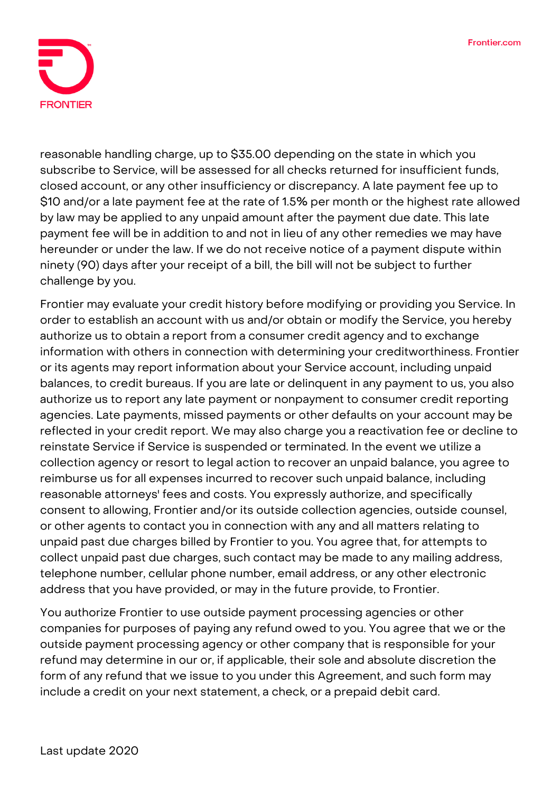

reasonable handling charge, up to \$35.00 depending on the state in which you subscribe to Service, will be assessed for all checks returned for insufficient funds, closed account, or any other insufficiency or discrepancy. A late payment fee up to \$10 and/or a late payment fee at the rate of 1.5% per month or the highest rate allowed by law may be applied to any unpaid amount after the payment due date. This late payment fee will be in addition to and not in lieu of any other remedies we may have hereunder or under the law. If we do not receive notice of a payment dispute within ninety (90) days after your receipt of a bill, the bill will not be subject to further challenge by you.

Frontier may evaluate your credit history before modifying or providing you Service. In order to establish an account with us and/or obtain or modify the Service, you hereby authorize us to obtain a report from a consumer credit agency and to exchange information with others in connection with determining your creditworthiness. Frontier or its agents may report information about your Service account, including unpaid balances, to credit bureaus. If you are late or delinquent in any payment to us, you also authorize us to report any late payment or nonpayment to consumer credit reporting agencies. Late payments, missed payments or other defaults on your account may be reflected in your credit report. We may also charge you a reactivation fee or decline to reinstate Service if Service is suspended or terminated. In the event we utilize a collection agency or resort to legal action to recover an unpaid balance, you agree to reimburse us for all expenses incurred to recover such unpaid balance, including reasonable attorneys' fees and costs. You expressly authorize, and specifically consent to allowing, Frontier and/or its outside collection agencies, outside counsel, or other agents to contact you in connection with any and all matters relating to unpaid past due charges billed by Frontier to you. You agree that, for attempts to collect unpaid past due charges, such contact may be made to any mailing address, telephone number, cellular phone number, email address, or any other electronic address that you have provided, or may in the future provide, to Frontier.

You authorize Frontier to use outside payment processing agencies or other companies for purposes of paying any refund owed to you. You agree that we or the outside payment processing agency or other company that is responsible for your refund may determine in our or, if applicable, their sole and absolute discretion the form of any refund that we issue to you under this Agreement, and such form may include a credit on your next statement, a check, or a prepaid debit card.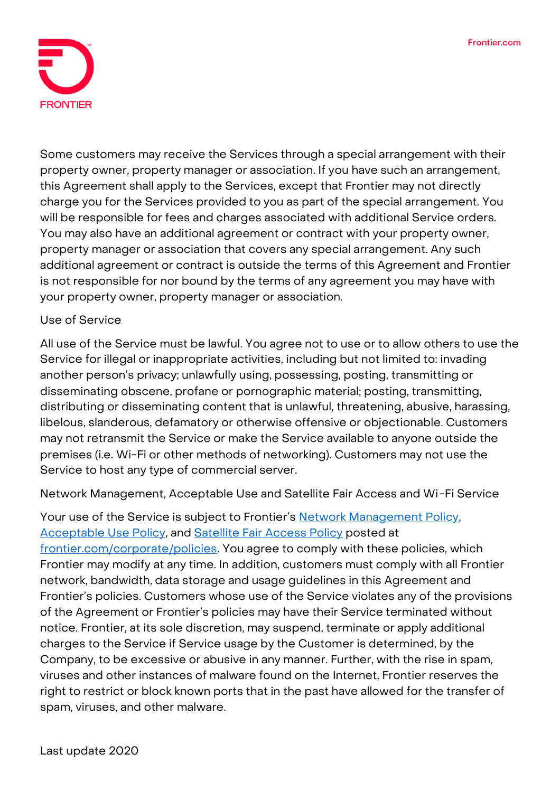

Some customers may receive the Services through a special arrangement with their property owner, property manager or association. If you have such an arrangement, this Agreement shall apply to the Services, except that Frontier may not directly charge you for the Services provided to you as part of the special arrangement. You will be responsible for fees and charges associated with additional Service orders. You may also have an additional agreement or contract with your property owner, property manager or association that covers any special arrangement. Any such additional agreement or contract is outside the terms of this Agreement and Frontier is not responsible for nor bound by the terms of any agreement you may have with your property owner, property manager or association.

# **Use of Service**

All use of the Service must be lawful. You agree not to use or to allow others to use the Service for illegal or inappropriate activities, including but not limited to: invading another person's privacy; unlawfully using, possessing, posting, transmitting or disseminating obscene, profane or pornographic material; posting, transmitting, distributing or disseminating content that is unlawful, threatening, abusive, harassing, libelous, slanderous, defamatory or otherwise offensive or objectionable. Customers may not retransmit the Service or make the Service available to anyone outside the premises (i.e. Wi-Fi or other methods of networking). Customers may not use the Service to host any type of commercial server.

**Network Management, Acceptable Use and Satellite Fair Access and Wi-Fi Service**

Your use of the Service is subject to Frontier's **Network Management Policy**, [Acceptable Use Policy,](https://frontier.com/~/media/corporate/policies/aup-residential.ashx?la=en) and [Satellite Fair Access Policy](https://frontier.com/~/media/corporate/policies/frontier-broadband-fair-access-policy-satellite.ashx?la=en) posted at [frontier.com/corporate/policies.](http://frontier.com/corporate/policies) You agree to comply with these policies, which Frontier may modify at any time. In addition, customers must comply with all Frontier network, bandwidth, data storage and usage guidelines in this Agreement and Frontier's policies. Customers whose use of the Service violates any of the provisions of the Agreement or Frontier's policies may have their Service terminated without notice. Frontier, at its sole discretion, may suspend, terminate or apply additional charges to the Service if Service usage by the Customer is determined, by the Company, to be excessive or abusive in any manner. Further, with the rise in spam, viruses and other instances of malware found on the Internet, Frontier reserves the right to restrict or block known ports that in the past have allowed for the transfer of spam, viruses, and other malware.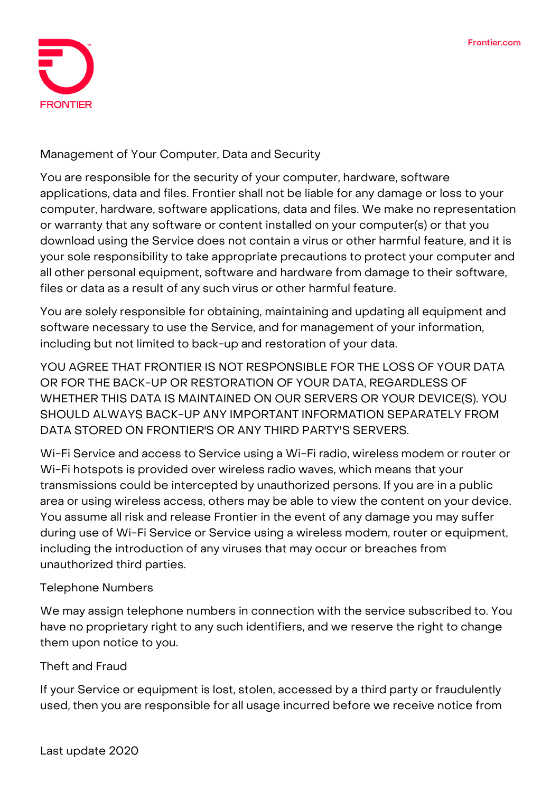

**Management of Your Computer, Data and Security**

You are responsible for the security of your computer, hardware, software applications, data and files. Frontier shall not be liable for any damage or loss to your computer, hardware, software applications, data and files. We make no representation or warranty that any software or content installed on your computer(s) or that you download using the Service does not contain a virus or other harmful feature, and it is your sole responsibility to take appropriate precautions to protect your computer and all other personal equipment, software and hardware from damage to their software, files or data as a result of any such virus or other harmful feature.

You are solely responsible for obtaining, maintaining and updating all equipment and software necessary to use the Service, and for management of your information, including but not limited to back-up and restoration of your data.

**YOU AGREE THAT FRONTIER IS NOT RESPONSIBLE FOR THE LOSS OF YOUR DATA OR FOR THE BACK-UP OR RESTORATION OF YOUR DATA, REGARDLESS OF WHETHER THIS DATA IS MAINTAINED ON OUR SERVERS OR YOUR DEVICE(S). YOU SHOULD ALWAYS BACK-UP ANY IMPORTANT INFORMATION SEPARATELY FROM DATA STORED ON FRONTIER'S OR ANY THIRD PARTY'S SERVERS.**

Wi-Fi Service and access to Service using a Wi-Fi radio, wireless modem or router or Wi-Fi hotspots is provided over wireless radio waves, which means that your transmissions could be intercepted by unauthorized persons. If you are in a public area or using wireless access, others may be able to view the content on your device. You assume all risk and release Frontier in the event of any damage you may suffer during use of Wi-Fi Service or Service using a wireless modem, router or equipment, including the introduction of any viruses that may occur or breaches from unauthorized third parties.

# **Telephone Numbers**

We may assign telephone numbers in connection with the service subscribed to. You have no proprietary right to any such identifiers, and we reserve the right to change them upon notice to you.

# **Theft and Fraud**

If your Service or equipment is lost, stolen, accessed by a third party or fraudulently used, then you are responsible for all usage incurred before we receive notice from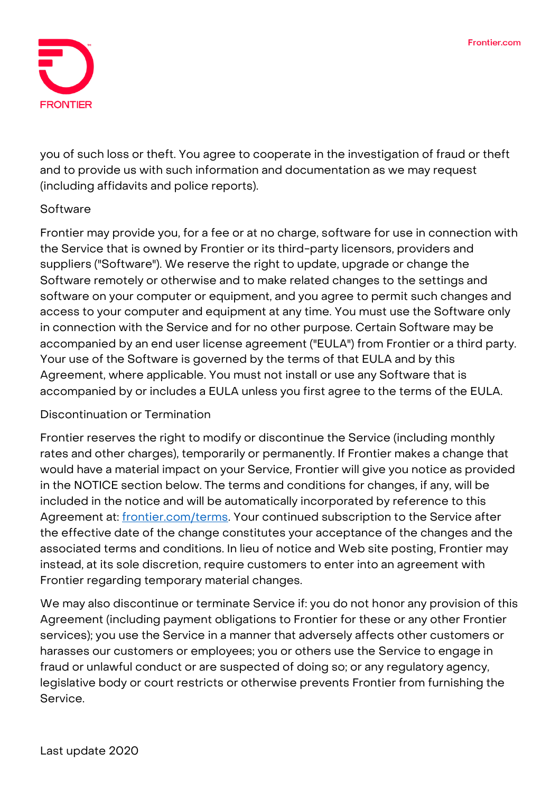

you of such loss or theft. You agree to cooperate in the investigation of fraud or theft and to provide us with such information and documentation as we may request (including affidavits and police reports).

# **Software**

Frontier may provide you, for a fee or at no charge, software for use in connection with the Service that is owned by Frontier or its third-party licensors, providers and suppliers ("Software"). We reserve the right to update, upgrade or change the Software remotely or otherwise and to make related changes to the settings and software on your computer or equipment, and you agree to permit such changes and access to your computer and equipment at any time. You must use the Software only in connection with the Service and for no other purpose. Certain Software may be accompanied by an end user license agreement ("EULA") from Frontier or a third party. Your use of the Software is governed by the terms of that EULA and by this Agreement, where applicable. You must not install or use any Software that is accompanied by or includes a EULA unless you first agree to the terms of the EULA.

#### **Discontinuation or Termination**

Frontier reserves the right to modify or discontinue the Service (including monthly rates and other charges), temporarily or permanently. If Frontier makes a change that would have a material impact on your Service, Frontier will give you notice as provided in the NOTICE section below. The terms and conditions for changes, if any, will be included in the notice and will be automatically incorporated by reference to this Agreement at: [frontier.com/terms.](https://frontier.com/corporate/terms) Your continued subscription to the Service after the effective date of the change constitutes your acceptance of the changes and the associated terms and conditions. In lieu of notice and Web site posting, Frontier may instead, at its sole discretion, require customers to enter into an agreement with Frontier regarding temporary material changes.

We may also discontinue or terminate Service if: you do not honor any provision of this Agreement (including payment obligations to Frontier for these or any other Frontier services); you use the Service in a manner that adversely affects other customers or harasses our customers or employees; you or others use the Service to engage in fraud or unlawful conduct or are suspected of doing so; or any regulatory agency, legislative body or court restricts or otherwise prevents Frontier from furnishing the Service.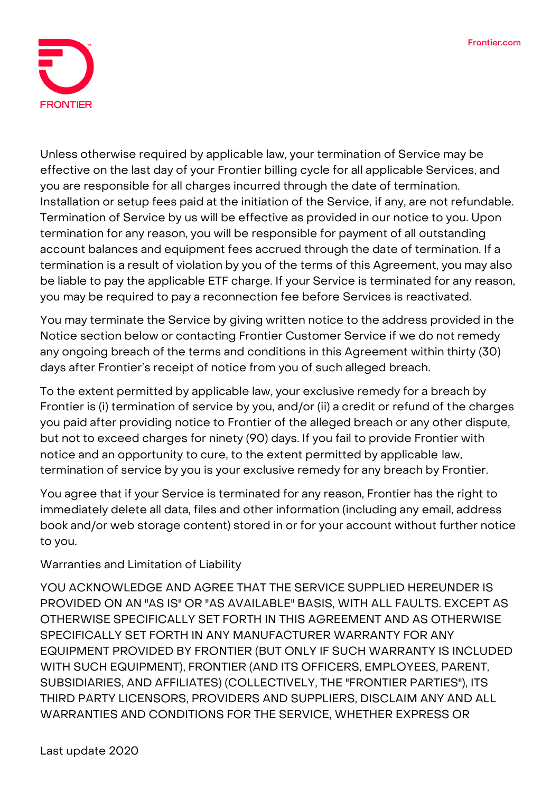

Unless otherwise required by applicable law, your termination of Service may be effective on the last day of your Frontier billing cycle for all applicable Services, and you are responsible for all charges incurred through the date of termination. Installation or setup fees paid at the initiation of the Service, if any, are not refundable. Termination of Service by us will be effective as provided in our notice to you. Upon termination for any reason, you will be responsible for payment of all outstanding account balances and equipment fees accrued through the date of termination. If a termination is a result of violation by you of the terms of this Agreement, you may also be liable to pay the applicable ETF charge. If your Service is terminated for any reason, you may be required to pay a reconnection fee before Services is reactivated.

You may terminate the Service by giving written notice to the address provided in the Notice section below or contacting Frontier Customer Service if we do not remedy any ongoing breach of the terms and conditions in this Agreement within thirty (30) days after Frontier's receipt of notice from you of such alleged breach.

**To the extent permitted by applicable law, your exclusive remedy for a breach by Frontier is (i) termination of service by you, and/or (ii) a credit or refund of the charges you paid after providing notice to Frontier of the alleged breach or any other dispute, but not to exceed charges for ninety (90) days. If you fail to provide Frontier with notice and an opportunity to cure, to the extent permitted by applicable law, termination of service by you is your exclusive remedy for any breach by Frontier.**

You agree that if your Service is terminated for any reason, Frontier has the right to immediately delete all data, files and other information (including any email, address book and/or web storage content) stored in or for your account without further notice to you.

# **Warranties and Limitation of Liability**

**YOU ACKNOWLEDGE AND AGREE THAT THE SERVICE SUPPLIED HEREUNDER IS PROVIDED ON AN "AS IS" OR "AS AVAILABLE" BASIS, WITH ALL FAULTS. EXCEPT AS OTHERWISE SPECIFICALLY SET FORTH IN THIS AGREEMENT AND AS OTHERWISE SPECIFICALLY SET FORTH IN ANY MANUFACTURER WARRANTY FOR ANY EQUIPMENT PROVIDED BY FRONTIER (BUT ONLY IF SUCH WARRANTY IS INCLUDED WITH SUCH EQUIPMENT), FRONTIER (AND ITS OFFICERS, EMPLOYEES, PARENT, SUBSIDIARIES, AND AFFILIATES) (COLLECTIVELY, THE "FRONTIER PARTIES"), ITS THIRD PARTY LICENSORS, PROVIDERS AND SUPPLIERS, DISCLAIM ANY AND ALL WARRANTIES AND CONDITIONS FOR THE SERVICE, WHETHER EXPRESS OR**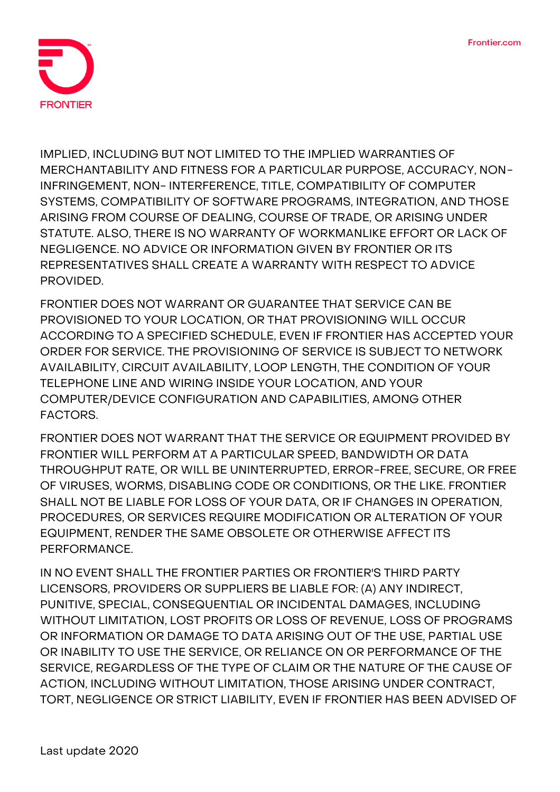

**IMPLIED, INCLUDING BUT NOT LIMITED TO THE IMPLIED WARRANTIES OF MERCHANTABILITY AND FITNESS FOR A PARTICULAR PURPOSE, ACCURACY, NON-INFRINGEMENT, NON- INTERFERENCE, TITLE, COMPATIBILITY OF COMPUTER SYSTEMS, COMPATIBILITY OF SOFTWARE PROGRAMS, INTEGRATION, AND THOSE ARISING FROM COURSE OF DEALING, COURSE OF TRADE, OR ARISING UNDER STATUTE. ALSO, THERE IS NO WARRANTY OF WORKMANLIKE EFFORT OR LACK OF NEGLIGENCE. NO ADVICE OR INFORMATION GIVEN BY FRONTIER OR ITS REPRESENTATIVES SHALL CREATE A WARRANTY WITH RESPECT TO ADVICE PROVIDED.**

**FRONTIER DOES NOT WARRANT OR GUARANTEE THAT SERVICE CAN BE PROVISIONED TO YOUR LOCATION, OR THAT PROVISIONING WILL OCCUR ACCORDING TO A SPECIFIED SCHEDULE, EVEN IF FRONTIER HAS ACCEPTED YOUR ORDER FOR SERVICE. THE PROVISIONING OF SERVICE IS SUBJECT TO NETWORK AVAILABILITY, CIRCUIT AVAILABILITY, LOOP LENGTH, THE CONDITION OF YOUR TELEPHONE LINE AND WIRING INSIDE YOUR LOCATION, AND YOUR COMPUTER/DEVICE CONFIGURATION AND CAPABILITIES, AMONG OTHER FACTORS.**

**FRONTIER DOES NOT WARRANT THAT THE SERVICE OR EQUIPMENT PROVIDED BY FRONTIER WILL PERFORM AT A PARTICULAR SPEED, BANDWIDTH OR DATA THROUGHPUT RATE, OR WILL BE UNINTERRUPTED, ERROR-FREE, SECURE, OR FREE OF VIRUSES, WORMS, DISABLING CODE OR CONDITIONS, OR THE LIKE. FRONTIER SHALL NOT BE LIABLE FOR LOSS OF YOUR DATA, OR IF CHANGES IN OPERATION, PROCEDURES, OR SERVICES REQUIRE MODIFICATION OR ALTERATION OF YOUR EQUIPMENT, RENDER THE SAME OBSOLETE OR OTHERWISE AFFECT ITS PERFORMANCE.**

**IN NO EVENT SHALL THE FRONTIER PARTIES OR FRONTIER'S THIRD PARTY LICENSORS, PROVIDERS OR SUPPLIERS BE LIABLE FOR: (A) ANY INDIRECT, PUNITIVE, SPECIAL, CONSEQUENTIAL OR INCIDENTAL DAMAGES, INCLUDING WITHOUT LIMITATION, LOST PROFITS OR LOSS OF REVENUE, LOSS OF PROGRAMS OR INFORMATION OR DAMAGE TO DATA ARISING OUT OF THE USE, PARTIAL USE OR INABILITY TO USE THE SERVICE, OR RELIANCE ON OR PERFORMANCE OF THE SERVICE, REGARDLESS OF THE TYPE OF CLAIM OR THE NATURE OF THE CAUSE OF ACTION, INCLUDING WITHOUT LIMITATION, THOSE ARISING UNDER CONTRACT, TORT, NEGLIGENCE OR STRICT LIABILITY, EVEN IF FRONTIER HAS BEEN ADVISED OF**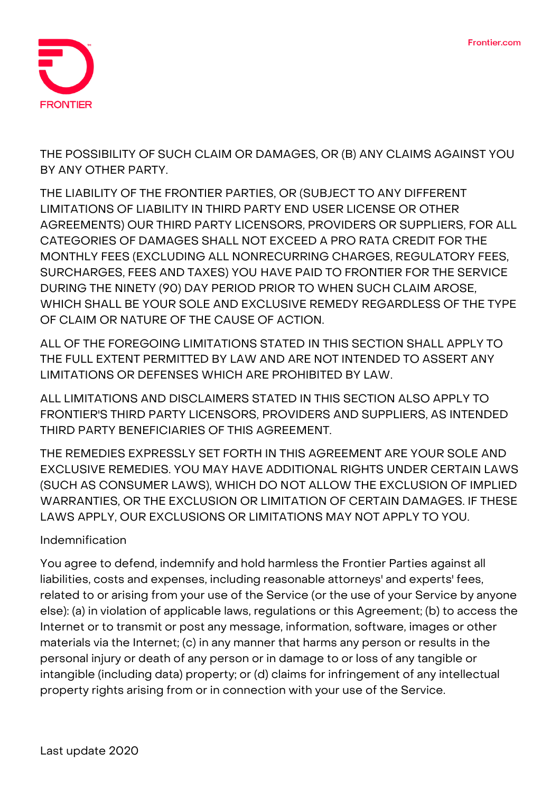

**THE POSSIBILITY OF SUCH CLAIM OR DAMAGES, OR (B) ANY CLAIMS AGAINST YOU BY ANY OTHER PARTY.**

**THE LIABILITY OF THE FRONTIER PARTIES, OR (SUBJECT TO ANY DIFFERENT LIMITATIONS OF LIABILITY IN THIRD PARTY END USER LICENSE OR OTHER AGREEMENTS) OUR THIRD PARTY LICENSORS, PROVIDERS OR SUPPLIERS, FOR ALL CATEGORIES OF DAMAGES SHALL NOT EXCEED A PRO RATA CREDIT FOR THE MONTHLY FEES (EXCLUDING ALL NONRECURRING CHARGES, REGULATORY FEES, SURCHARGES, FEES AND TAXES) YOU HAVE PAID TO FRONTIER FOR THE SERVICE DURING THE NINETY (90) DAY PERIOD PRIOR TO WHEN SUCH CLAIM AROSE, WHICH SHALL BE YOUR SOLE AND EXCLUSIVE REMEDY REGARDLESS OF THE TYPE OF CLAIM OR NATURE OF THE CAUSE OF ACTION.**

**ALL OF THE FOREGOING LIMITATIONS STATED IN THIS SECTION SHALL APPLY TO THE FULL EXTENT PERMITTED BY LAW AND ARE NOT INTENDED TO ASSERT ANY LIMITATIONS OR DEFENSES WHICH ARE PROHIBITED BY LAW.**

**ALL LIMITATIONS AND DISCLAIMERS STATED IN THIS SECTION ALSO APPLY TO FRONTIER'S THIRD PARTY LICENSORS, PROVIDERS AND SUPPLIERS, AS INTENDED THIRD PARTY BENEFICIARIES OF THIS AGREEMENT.**

**THE REMEDIES EXPRESSLY SET FORTH IN THIS AGREEMENT ARE YOUR SOLE AND EXCLUSIVE REMEDIES. YOU MAY HAVE ADDITIONAL RIGHTS UNDER CERTAIN LAWS (SUCH AS CONSUMER LAWS), WHICH DO NOT ALLOW THE EXCLUSION OF IMPLIED WARRANTIES, OR THE EXCLUSION OR LIMITATION OF CERTAIN DAMAGES. IF THESE LAWS APPLY, OUR EXCLUSIONS OR LIMITATIONS MAY NOT APPLY TO YOU.**

# **Indemnification**

You agree to defend, indemnify and hold harmless the Frontier Parties against all liabilities, costs and expenses, including reasonable attorneys' and experts' fees, related to or arising from your use of the Service (or the use of your Service by anyone else): (a) in violation of applicable laws, regulations or this Agreement; (b) to access the Internet or to transmit or post any message, information, software, images or other materials via the Internet; (c) in any manner that harms any person or results in the personal injury or death of any person or in damage to or loss of any tangible or intangible (including data) property; or (d) claims for infringement of any intellectual property rights arising from or in connection with your use of the Service.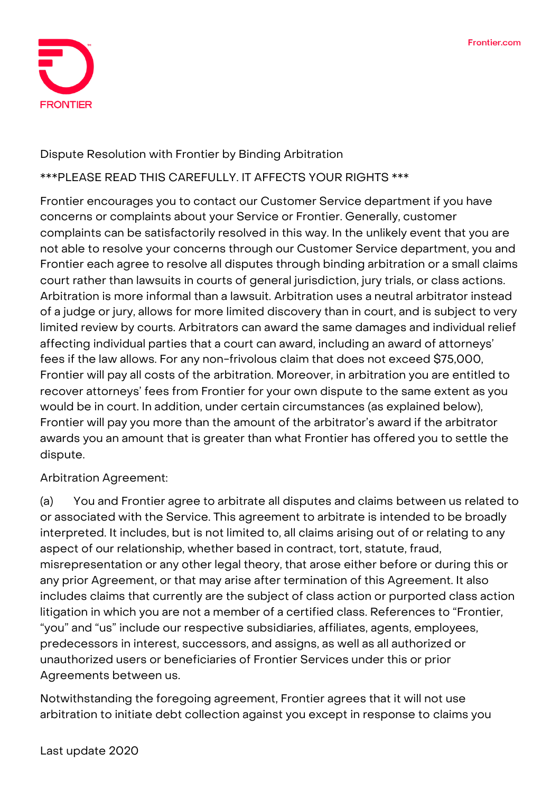

# **Dispute Resolution with Frontier by Binding Arbitration**

### **\*\*\*PLEASE READ THIS CAREFULLY. IT AFFECTS YOUR RIGHTS \*\*\***

Frontier encourages you to contact our Customer Service department if you have concerns or complaints about your Service or Frontier. Generally, customer complaints can be satisfactorily resolved in this way. In the unlikely event that you are not able to resolve your concerns through our Customer Service department, you and Frontier each agree to resolve all disputes through binding arbitration or a small claims court rather than lawsuits in courts of general jurisdiction, jury trials, or class actions. Arbitration is more informal than a lawsuit. Arbitration uses a neutral arbitrator instead of a judge or jury, allows for more limited discovery than in court, and is subject to very limited review by courts. Arbitrators can award the same damages and individual relief affecting individual parties that a court can award, including an award of attorneys' fees if the law allows. For any non-frivolous claim that does not exceed \$75,000, Frontier will pay all costs of the arbitration. Moreover, in arbitration you are entitled to recover attorneys' fees from Frontier for your own dispute to the same extent as you would be in court. In addition, under certain circumstances (as explained below), Frontier will pay you more than the amount of the arbitrator's award if the arbitrator awards you an amount that is greater than what Frontier has offered you to settle the dispute.

**Arbitration Agreement:**

(a) You and Frontier agree to arbitrate **all disputes and claims** between us related to or associated with the Service. This agreement to arbitrate is intended to be broadly interpreted. It includes, but is not limited to, all claims arising out of or relating to any aspect of our relationship, whether based in contract, tort, statute, fraud, misrepresentation or any other legal theory, that arose either before or during this or any prior Agreement, or that may arise after termination of this Agreement. It also includes claims that currently are the subject of class action or purported class action litigation in which you are not a member of a certified class. References to "Frontier, "you" and "us" include our respective subsidiaries, affiliates, agents, employees, predecessors in interest, successors, and assigns, as well as all authorized or unauthorized users or beneficiaries of Frontier Services under this or prior Agreements between us.

Notwithstanding the foregoing agreement, Frontier agrees that it will not use arbitration to initiate debt collection against you except in response to claims you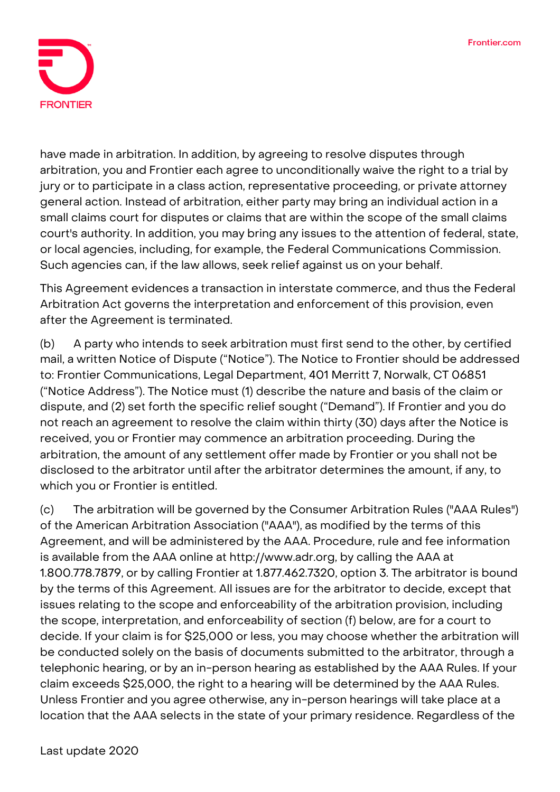

have made in arbitration. In addition, by agreeing to resolve disputes through arbitration, **you and Frontier each agree to unconditionally waive the right to a trial by jury or to participate in a class action, representative proceeding, or private attorney general action.** Instead of arbitration, either party may bring an individual action in a small claims court for disputes or claims that are within the scope of the small claims court's authority. In addition, you may bring any issues to the attention of federal, state, or local agencies, including, for example, the Federal Communications Commission. Such agencies can, if the law allows, seek relief against us on your behalf.

This Agreement evidences a transaction in interstate commerce, and thus the Federal Arbitration Act governs the interpretation and enforcement of this provision, even after the Agreement is terminated.

(b) A party who intends to seek arbitration must first send to the other, by certified mail, a written Notice of Dispute ("Notice"). The Notice to Frontier should be addressed to: Frontier Communications, Legal Department, 401 Merritt 7, Norwalk, CT 06851 ("Notice Address"). The Notice must (1) describe the nature and basis of the claim or dispute, and (2) set forth the specific relief sought ("Demand"). If Frontier and you do not reach an agreement to resolve the claim within thirty (30) days after the Notice is received, you or Frontier may commence an arbitration proceeding. During the arbitration, the amount of any settlement offer made by Frontier or you shall not be disclosed to the arbitrator until after the arbitrator determines the amount, if any, to which you or Frontier is entitled.

(c) The arbitration will be governed by the Consumer Arbitration Rules ("AAA Rules") of the American Arbitration Association ("AAA"), as modified by the terms of this Agreement, and will be administered by the AAA. Procedure, rule and fee information is available from the AAA online at http://www.adr.org, by calling the AAA at 1.800.778.7879, or by calling Frontier at 1.877.462.7320, option 3. The arbitrator is bound by the terms of this Agreement. All issues are for the arbitrator to decide, except that issues relating to the scope and enforceability of the arbitration provision, including the scope, interpretation, and enforceability of section (f) below, are for a court to decide. If your claim is for \$25,000 or less, you may choose whether the arbitration will be conducted solely on the basis of documents submitted to the arbitrator, through a telephonic hearing, or by an in-person hearing as established by the AAA Rules. If your claim exceeds \$25,000, the right to a hearing will be determined by the AAA Rules. Unless Frontier and you agree otherwise, any in-person hearings will take place at a location that the AAA selects in the state of your primary residence. Regardless of the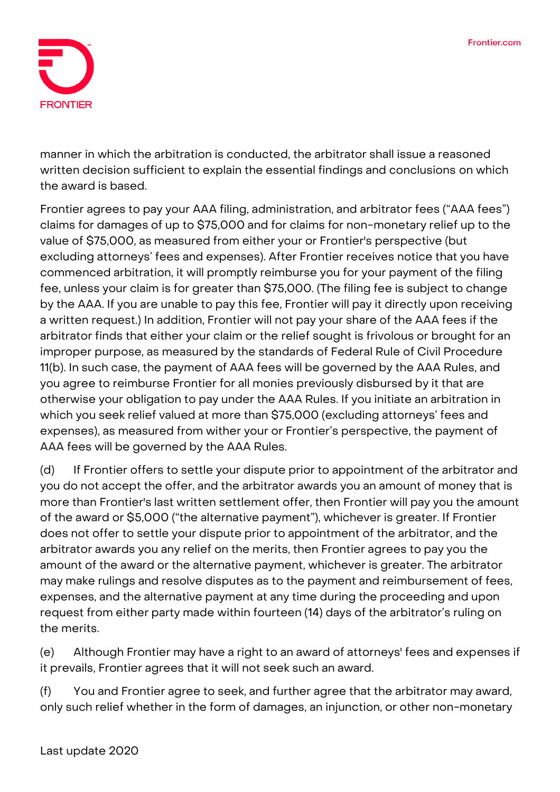

manner in which the arbitration is conducted, the arbitrator shall issue a reasoned written decision sufficient to explain the essential findings and conclusions on which the award is based.

Frontier agrees to pay your AAA filing, administration, and arbitrator fees ("AAA fees") claims for damages of up to \$75,000 and for claims for non-monetary relief up to the value of \$75,000, as measured from either your or Frontier's perspective (but excluding attorneys' fees and expenses). After Frontier receives notice that you have commenced arbitration, it will promptly reimburse you for your payment of the filing fee, unless your claim is for greater than \$75,000. (The filing fee is subject to change by the AAA. If you are unable to pay this fee, Frontier will pay it directly upon receiving a written request.) In addition, Frontier will not pay your share of the AAA fees if the arbitrator finds that either your claim or the relief sought is frivolous or brought for an improper purpose, as measured by the standards of Federal Rule of Civil Procedure 11(b). In such case, the payment of AAA fees will be governed by the AAA Rules, and you agree to reimburse Frontier for all monies previously disbursed by it that are otherwise your obligation to pay under the AAA Rules. If you initiate an arbitration in which you seek relief valued at more than \$75,000 (excluding attorneys' fees and expenses), as measured from wither your or Frontier's perspective, the payment of AAA fees will be governed by the AAA Rules.

(d) If Frontier offers to settle your dispute prior to appointment of the arbitrator and you do not accept the offer, and the arbitrator awards you an amount of money that is more than Frontier's last written settlement offer, then Frontier will pay you the amount of the award or \$5,000 ("the alternative payment"), whichever is greater. If Frontier does not offer to settle your dispute prior to appointment of the arbitrator, and the arbitrator awards you any relief on the merits, then Frontier agrees to pay you the amount of the award or the alternative payment, whichever is greater. The arbitrator may make rulings and resolve disputes as to the payment and reimbursement of fees, expenses, and the alternative payment at any time during the proceeding and upon request from either party made within fourteen (14) days of the arbitrator's ruling on the merits.

(e) Although Frontier may have a right to an award of attorneys' fees and expenses if it prevails, Frontier agrees that it will not seek such an award.

(f) You and Frontier agree to seek, and further agree that the arbitrator may award, only such relief whether in the form of damages, an injunction, or other non-monetary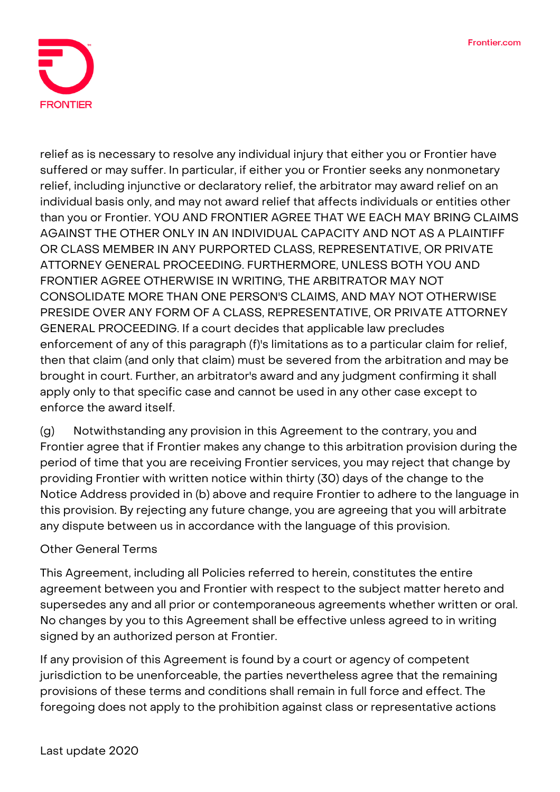

relief as is necessary to resolve any individual injury that either you or Frontier have suffered or may suffer. In particular, if either you or Frontier seeks any nonmonetary relief, including injunctive or declaratory relief, the arbitrator may award relief on an individual basis only, and may not award relief that affects individuals or entities other than you or Frontier. YOU AND FRONTIER AGREE THAT WE EACH MAY BRING CLAIMS AGAINST THE OTHER ONLY IN AN INDIVIDUAL CAPACITY AND NOT AS A PLAINTIFF OR CLASS MEMBER IN ANY PURPORTED CLASS, REPRESENTATIVE, OR PRIVATE ATTORNEY GENERAL PROCEEDING. FURTHERMORE, UNLESS BOTH YOU AND FRONTIER AGREE OTHERWISE IN WRITING, THE ARBITRATOR MAY NOT CONSOLIDATE MORE THAN ONE PERSON'S CLAIMS, AND MAY NOT OTHERWISE PRESIDE OVER ANY FORM OF A CLASS, REPRESENTATIVE, OR PRIVATE ATTORNEY GENERAL PROCEEDING. If a court decides that applicable law precludes enforcement of any of this paragraph (f)'s limitations as to a particular claim for relief, then that claim (and only that claim) must be severed from the arbitration and may be brought in court. Further, an arbitrator's award and any judgment confirming it shall apply only to that specific case and cannot be used in any other case except to enforce the award itself.

(g) Notwithstanding any provision in this Agreement to the contrary, you and Frontier agree that if Frontier makes any change to this arbitration provision during the period of time that you are receiving Frontier services, you may reject that change by providing Frontier with written notice within thirty (30) days of the change to the Notice Address provided in (b) above and require Frontier to adhere to the language in this provision. By rejecting any future change, you are agreeing that you will arbitrate any dispute between us in accordance with the language of this provision.

# **Other General Terms**

This Agreement, including all Policies referred to herein, constitutes the entire agreement between you and Frontier with respect to the subject matter hereto and supersedes any and all prior or contemporaneous agreements whether written or oral. No changes by you to this Agreement shall be effective unless agreed to in writing signed by an authorized person at Frontier.

If any provision of this Agreement is found by a court or agency of competent jurisdiction to be unenforceable, the parties nevertheless agree that the remaining provisions of these terms and conditions shall remain in full force and effect. The foregoing does not apply to the prohibition against class or representative actions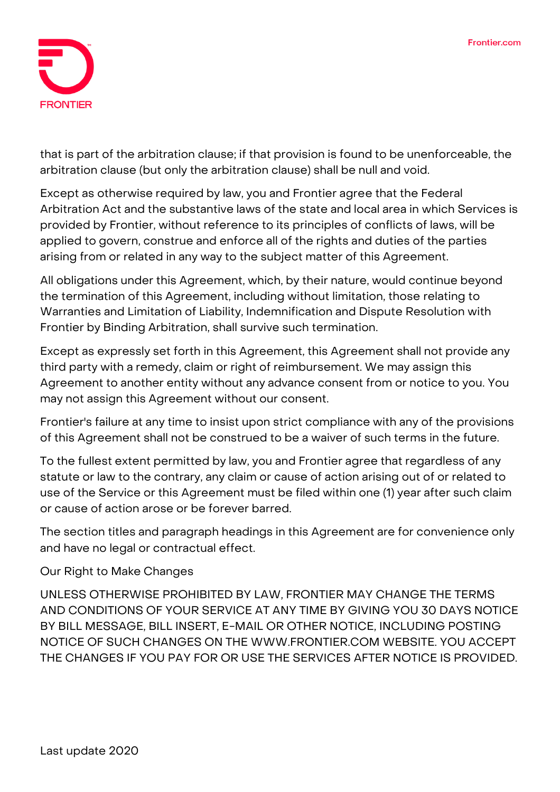

that is part of the arbitration clause; if that provision is found to be unenforceable, the arbitration clause (but only the arbitration clause) shall be null and void.

Except as otherwise required by law, you and Frontier agree that the Federal Arbitration Act and the substantive laws of the state and local area in which Services is provided by Frontier, without reference to its principles of conflicts of laws, will be applied to govern, construe and enforce all of the rights and duties of the parties arising from or related in any way to the subject matter of this Agreement.

All obligations under this Agreement, which, by their nature, would continue beyond the termination of this Agreement, including without limitation, those relating to Warranties and Limitation of Liability, Indemnification and Dispute Resolution with Frontier by Binding Arbitration, shall survive such termination.

Except as expressly set forth in this Agreement, this Agreement shall not provide any third party with a remedy, claim or right of reimbursement. We may assign this Agreement to another entity without any advance consent from or notice to you. You may not assign this Agreement without our consent.

Frontier's failure at any time to insist upon strict compliance with any of the provisions of this Agreement shall not be construed to be a waiver of such terms in the future.

To the fullest extent permitted by law, you and Frontier agree that regardless of any statute or law to the contrary, any claim or cause of action arising out of or related to use of the Service or this Agreement must be filed within one (1) year after such claim or cause of action arose or be forever barred.

The section titles and paragraph headings in this Agreement are for convenience only and have no legal or contractual effect.

# **Our Right to Make Changes**

UNLESS OTHERWISE PROHIBITED BY LAW, FRONTIER MAY CHANGE THE TERMS AND CONDITIONS OF YOUR SERVICE AT ANY TIME BY GIVING YOU 30 DAYS NOTICE BY BILL MESSAGE, BILL INSERT, E-MAIL OR OTHER NOTICE, INCLUDING POSTING NOTICE OF SUCH CHANGES ON THE WWW.FRONTIER.COM WEBSITE. YOU ACCEPT THE CHANGES IF YOU PAY FOR OR USE THE SERVICES AFTER NOTICE IS PROVIDED.